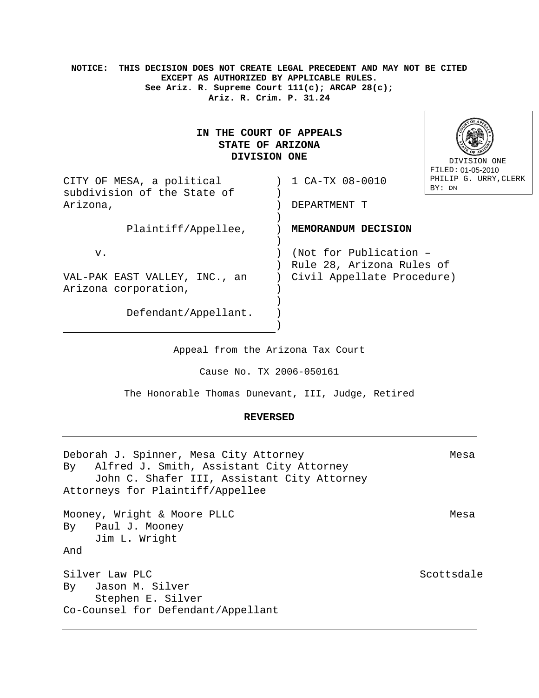**NOTICE: THIS DECISION DOES NOT CREATE LEGAL PRECEDENT AND MAY NOT BE CITED EXCEPT AS AUTHORIZED BY APPLICABLE RULES. See Ariz. R. Supreme Court 111(c); ARCAP 28(c); Ariz. R. Crim. P. 31.24** 

# **IN THE COURT OF APPEALS STATE OF ARIZONA DIVISION ONE**



| CITY OF MESA, a political<br>subdivision of the State of | PHTLTP<br>1 CA-TX 08-0010<br>BY: DN                 |
|----------------------------------------------------------|-----------------------------------------------------|
| Arizona,                                                 | DEPARTMENT T                                        |
| Plaintiff/Appellee,                                      | MEMORANDUM DECISION                                 |
| v.                                                       | (Not for Publication -<br>Rule 28, Arizona Rules of |
| VAL-PAK EAST VALLEY, INC., an<br>Arizona corporation,    | Civil Appellate Procedure)                          |
| Defendant/Appellant.                                     |                                                     |

Appeal from the Arizona Tax Court

)

Cause No. TX 2006-050161

The Honorable Thomas Dunevant, III, Judge, Retired

#### **REVERSED**

Deborah J. Spinner, Mesa City Attorney Theorem Mesa By Alfred J. Smith, Assistant City Attorney John C. Shafer III, Assistant City Attorney Attorneys for Plaintiff/Appellee Mooney, Wright & Moore PLLC Messachuset and Messachuset and Messachuset and Messachuset and Messachuset and Messachuset and Messachuset and Messachuset and Messachuset and Messachuset and Messachuset and Messachuset and Me By Paul J. Mooney Jim L. Wright And Silver Law PLC Scottsdale Scottsdale By Jason M. Silver Stephen E. Silver Co-Counsel for Defendant/Appellant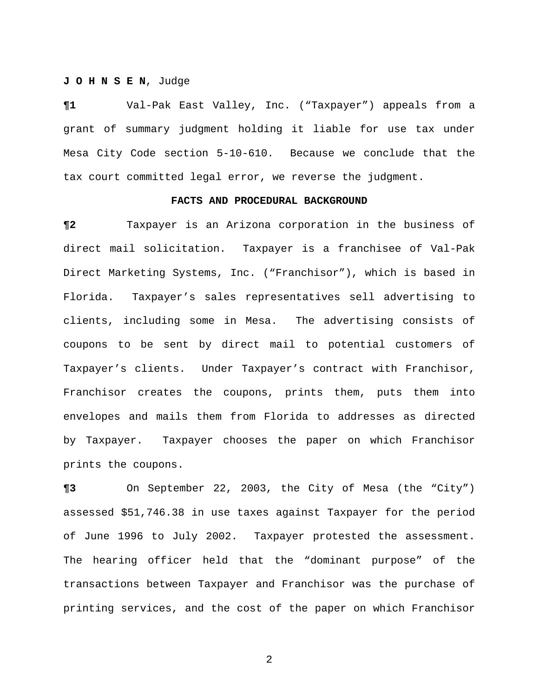## **J O H N S E N**, Judge

**¶1** Val-Pak East Valley, Inc. ("Taxpayer") appeals from a grant of summary judgment holding it liable for use tax under Mesa City Code section 5-10-610. Because we conclude that the tax court committed legal error, we reverse the judgment.

### **FACTS AND PROCEDURAL BACKGROUND**

**¶2** Taxpayer is an Arizona corporation in the business of direct mail solicitation. Taxpayer is a franchisee of Val-Pak Direct Marketing Systems, Inc. ("Franchisor"), which is based in Florida. Taxpayer's sales representatives sell advertising to clients, including some in Mesa. The advertising consists of coupons to be sent by direct mail to potential customers of Taxpayer's clients. Under Taxpayer's contract with Franchisor, Franchisor creates the coupons, prints them, puts them into envelopes and mails them from Florida to addresses as directed by Taxpayer. Taxpayer chooses the paper on which Franchisor prints the coupons.

**¶3** On September 22, 2003, the City of Mesa (the "City") assessed \$51,746.38 in use taxes against Taxpayer for the period of June 1996 to July 2002. Taxpayer protested the assessment. The hearing officer held that the "dominant purpose" of the transactions between Taxpayer and Franchisor was the purchase of printing services, and the cost of the paper on which Franchisor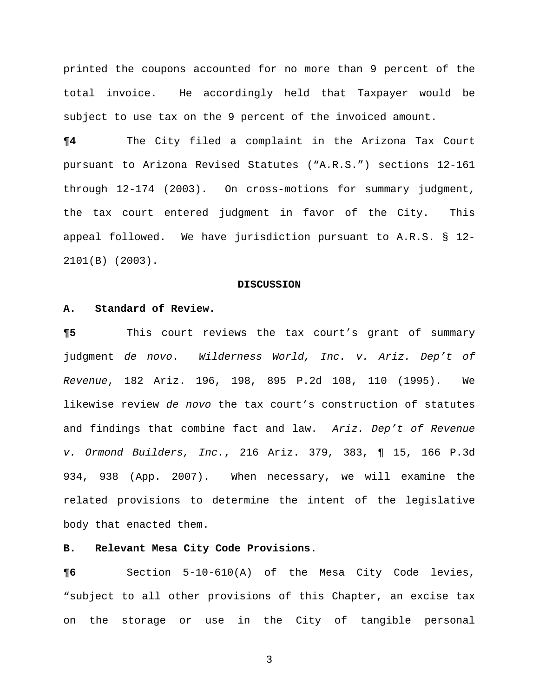printed the coupons accounted for no more than 9 percent of the total invoice. He accordingly held that Taxpayer would be subject to use tax on the 9 percent of the invoiced amount.

**¶4** The City filed a complaint in the Arizona Tax Court pursuant to Arizona Revised Statutes ("A.R.S.") sections 12-161 through 12-174 (2003). On cross-motions for summary judgment, the tax court entered judgment in favor of the City. This appeal followed.We have jurisdiction pursuant to A.R.S. § 12- 2101(B) (2003).

#### **DISCUSSION**

## **A. Standard of Review.**

**¶5** This court reviews the tax court's grant of summary judgment *de novo*. *Wilderness World, Inc. v. Ariz. Dep't of Revenue*, 182 Ariz. 196, 198, 895 P.2d 108, 110 (1995). We likewise review *de novo* the tax court's construction of statutes and findings that combine fact and law. *Ariz. Dep't of Revenue v. Ormond Builders, Inc.*, 216 Ariz. 379, 383, ¶ 15, 166 P.3d 934, 938 (App. 2007). When necessary, we will examine the related provisions to determine the intent of the legislative body that enacted them.

# **B. Relevant Mesa City Code Provisions.**

**¶6** Section 5-10-610(A) of the Mesa City Code levies, "subject to all other provisions of this Chapter, an excise tax on the storage or use in the City of tangible personal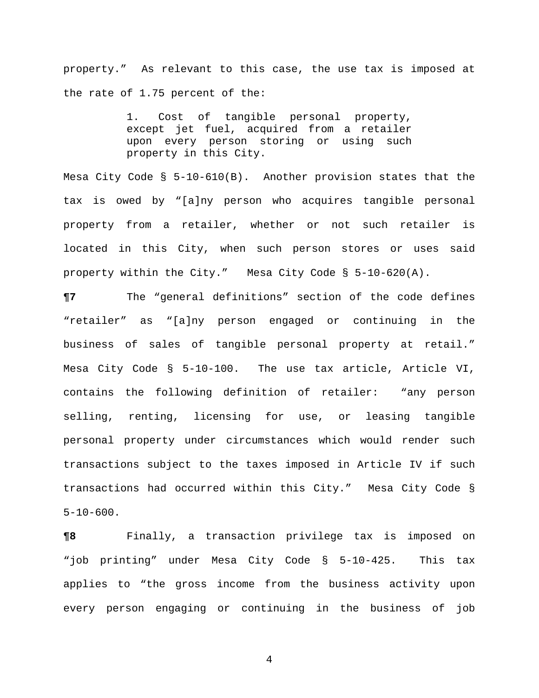property." As relevant to this case, the use tax is imposed at the rate of 1.75 percent of the:

> 1. Cost of tangible personal property, except jet fuel, acquired from a retailer upon every person storing or using such property in this City.

Mesa City Code § 5-10-610(B). Another provision states that the tax is owed by "[a]ny person who acquires tangible personal property from a retailer, whether or not such retailer is located in this City, when such person stores or uses said property within the City." Mesa City Code § 5-10-620(A).

**¶7** The "general definitions" section of the code defines "retailer" as "[a]ny person engaged or continuing in the business of sales of tangible personal property at retail." Mesa City Code § 5-10-100. The use tax article, Article VI, contains the following definition of retailer: "any person selling, renting, licensing for use, or leasing tangible personal property under circumstances which would render such transactions subject to the taxes imposed in Article IV if such transactions had occurred within this City." Mesa City Code §  $5 - 10 - 600$ .

**¶8** Finally, a transaction privilege tax is imposed on "job printing" under Mesa City Code § 5-10-425. This tax applies to "the gross income from the business activity upon every person engaging or continuing in the business of job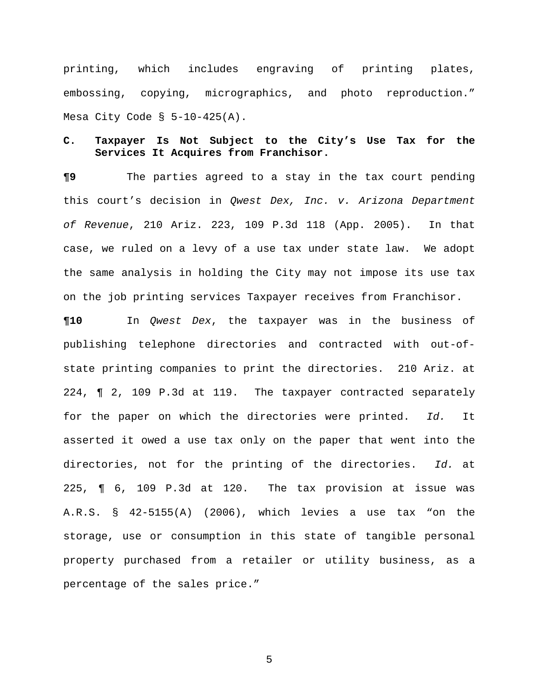printing, which includes engraving of printing plates, embossing, copying, micrographics, and photo reproduction." Mesa City Code  $\S$  5-10-425(A).

# **C. Taxpayer Is Not Subject to the City's Use Tax for the Services It Acquires from Franchisor.**

**¶9** The parties agreed to a stay in the tax court pending this court's decision in *Qwest Dex, Inc. v. Arizona Department of Revenue*, 210 Ariz. 223, 109 P.3d 118 (App. 2005). In that case, we ruled on a levy of a use tax under state law. We adopt the same analysis in holding the City may not impose its use tax on the job printing services Taxpayer receives from Franchisor.

**¶10** In *Qwest Dex*, the taxpayer was in the business of publishing telephone directories and contracted with out-ofstate printing companies to print the directories. 210 Ariz. at 224, ¶ 2, 109 P.3d at 119. The taxpayer contracted separately for the paper on which the directories were printed. *Id.* It asserted it owed a use tax only on the paper that went into the directories, not for the printing of the directories. *Id.* at 225, ¶ 6, 109 P.3d at 120. The tax provision at issue was A.R.S. § 42-5155(A) (2006), which levies a use tax "on the storage, use or consumption in this state of tangible personal property purchased from a retailer or utility business, as a percentage of the sales price."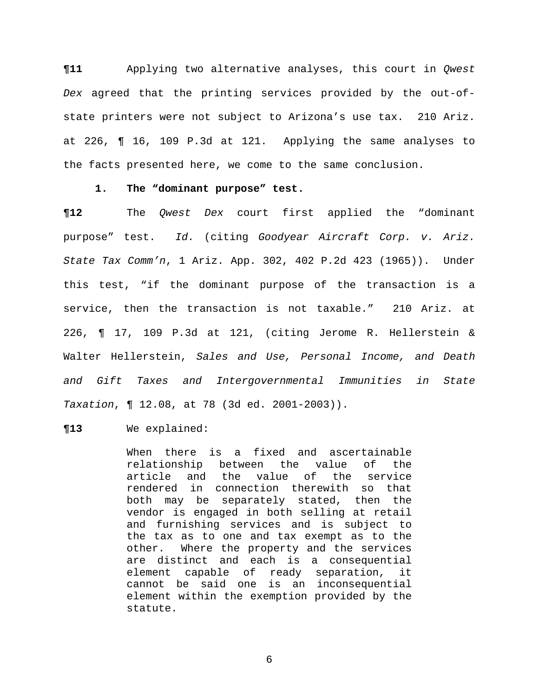**¶11** Applying two alternative analyses, this court in *Qwest Dex* agreed that the printing services provided by the out-ofstate printers were not subject to Arizona's use tax. 210 Ariz. at 226, ¶ 16, 109 P.3d at 121. Applying the same analyses to the facts presented here, we come to the same conclusion.

## **1. The "dominant purpose" test.**

**¶12** The *Qwest Dex* court first applied the "dominant purpose" test. *Id.* (citing *Goodyear Aircraft Corp. v. Ariz. State Tax Comm'n*, 1 Ariz. App. 302, 402 P.2d 423 (1965)). Under this test, "if the dominant purpose of the transaction is a service, then the transaction is not taxable." 210 Ariz. at 226, ¶ 17, 109 P.3d at 121, (citing Jerome R. Hellerstein & Walter Hellerstein, *Sales and Use, Personal Income, and Death and Gift Taxes and Intergovernmental Immunities in State Taxation*, ¶ 12.08, at 78 (3d ed. 2001-2003)).

#### **¶13** We explained:

When there is a fixed and ascertainable relationship between the value of the article and the value of the service rendered in connection therewith so that both may be separately stated, then the vendor is engaged in both selling at retail and furnishing services and is subject to the tax as to one and tax exempt as to the other. Where the property and the services are distinct and each is a consequential element capable of ready separation, it cannot be said one is an inconsequential element within the exemption provided by the statute.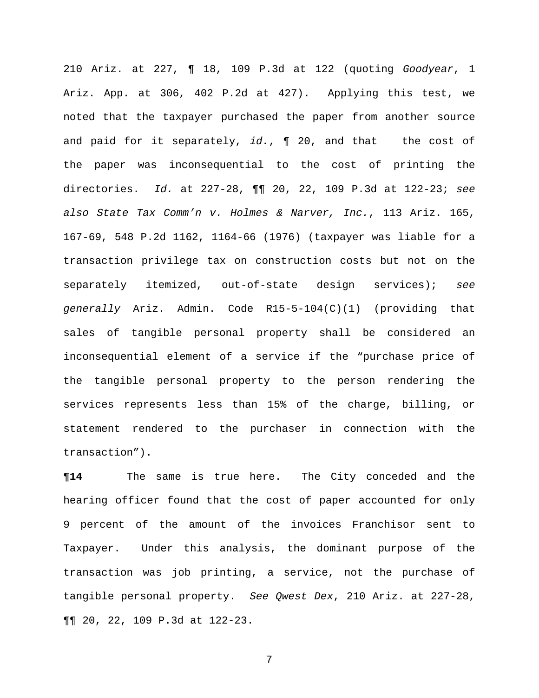210 Ariz. at 227, ¶ 18, 109 P.3d at 122 (quoting *Goodyear*, 1 Ariz. App. at 306, 402 P.2d at 427). Applying this test, we noted that the taxpayer purchased the paper from another source and paid for it separately, *id.*, ¶ 20, and that the cost of the paper was inconsequential to the cost of printing the directories. *Id.* at 227-28, ¶¶ 20, 22, 109 P.3d at 122-23; *see also State Tax Comm'n v. Holmes & Narver, Inc.*, 113 Ariz. 165, 167-69, 548 P.2d 1162, 1164-66 (1976) (taxpayer was liable for a transaction privilege tax on construction costs but not on the separately itemized, out-of-state design services); *see generally* Ariz. Admin. Code R15-5-104(C)(1) (providing that sales of tangible personal property shall be considered an inconsequential element of a service if the "purchase price of the tangible personal property to the person rendering the services represents less than 15% of the charge, billing, or statement rendered to the purchaser in connection with the transaction").

**¶14** The same is true here. The City conceded and the hearing officer found that the cost of paper accounted for only 9 percent of the amount of the invoices Franchisor sent to Taxpayer. Under this analysis, the dominant purpose of the transaction was job printing, a service, not the purchase of tangible personal property. *See Qwest Dex*, 210 Ariz. at 227-28, ¶¶ 20, 22, 109 P.3d at 122-23.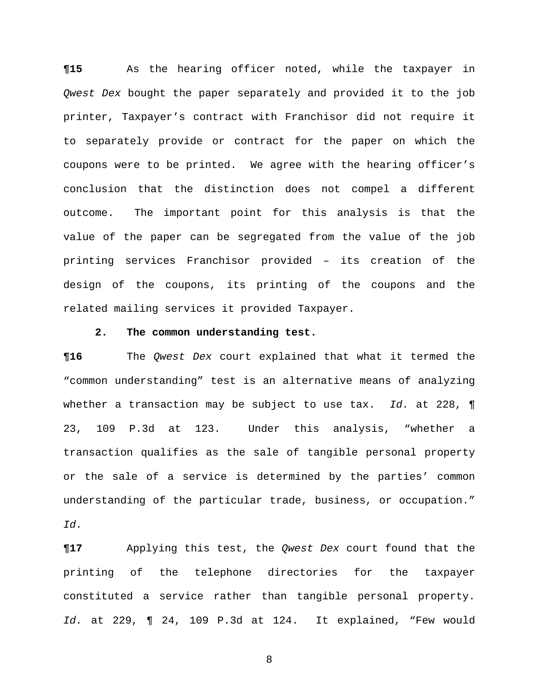**¶15** As the hearing officer noted, while the taxpayer in *Qwest Dex* bought the paper separately and provided it to the job printer, Taxpayer's contract with Franchisor did not require it to separately provide or contract for the paper on which the coupons were to be printed. We agree with the hearing officer's conclusion that the distinction does not compel a different outcome. The important point for this analysis is that the value of the paper can be segregated from the value of the job printing services Franchisor provided – its creation of the design of the coupons, its printing of the coupons and the related mailing services it provided Taxpayer.

### **2. The common understanding test.**

**¶16** The *Qwest Dex* court explained that what it termed the "common understanding" test is an alternative means of analyzing whether a transaction may be subject to use tax. *Id.* at 228, ¶ 23, 109 P.3d at 123. Under this analysis, "whether a transaction qualifies as the sale of tangible personal property or the sale of a service is determined by the parties' common understanding of the particular trade, business, or occupation." *Id.*

**¶17** Applying this test, the *Qwest Dex* court found that the printing of the telephone directories for the taxpayer constituted a service rather than tangible personal property. *Id.* at 229, ¶ 24, 109 P.3d at 124. It explained, "Few would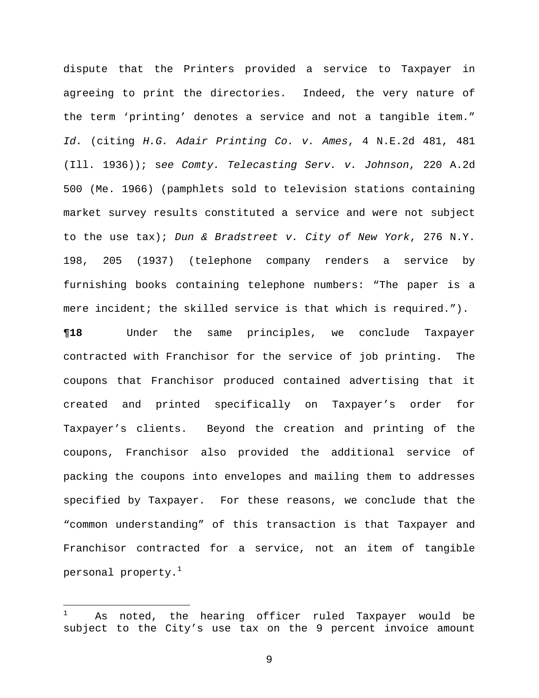dispute that the Printers provided a service to Taxpayer in agreeing to print the directories. Indeed, the very nature of the term 'printing' denotes a service and not a tangible item." *Id.* (citing *H.G. Adair Printing Co. v. Ames*, 4 N.E.2d 481, 481 (Ill. 1936)); s*ee Comty. Telecasting Serv. v. Johnson*, 220 A.2d 500 (Me. 1966) (pamphlets sold to television stations containing market survey results constituted a service and were not subject to the use tax); *Dun & Bradstreet v. City of New York*, 276 N.Y. 198, 205 (1937) (telephone company renders a service by furnishing books containing telephone numbers: "The paper is a mere incident; the skilled service is that which is required.").

**¶18** Under the same principles, we conclude Taxpayer contracted with Franchisor for the service of job printing. The coupons that Franchisor produced contained advertising that it created and printed specifically on Taxpayer's order for Taxpayer's clients. Beyond the creation and printing of the coupons, Franchisor also provided the additional service of packing the coupons into envelopes and mailing them to addresses specified by Taxpayer. For these reasons, we conclude that the "common understanding" of this transaction is that Taxpayer and Franchisor contracted for a service, not an item of tangible personal property. $<sup>1</sup>$ </sup>

i<br>Li

<sup>1</sup> As noted, the hearing officer ruled Taxpayer would be subject to the City's use tax on the 9 percent invoice amount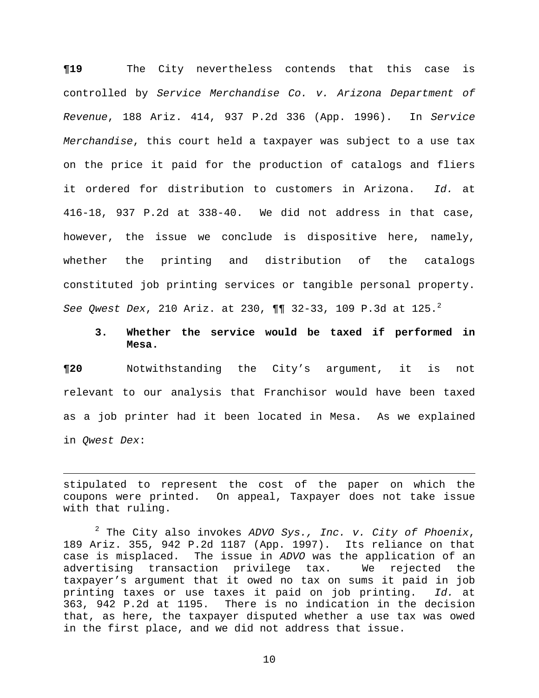**¶19** The City nevertheless contends that this case is controlled by *Service Merchandise Co. v. Arizona Department of Revenue*, 188 Ariz. 414, 937 P.2d 336 (App. 1996). In *Service Merchandise*, this court held a taxpayer was subject to a use tax on the price it paid for the production of catalogs and fliers it ordered for distribution to customers in Arizona. *Id.* at 416-18, 937 P.2d at 338-40. We did not address in that case, however, the issue we conclude is dispositive here, namely, whether the printing and distribution of the catalogs constituted job printing services or tangible personal property. *See Qwest Dex*, 210 Ariz. at 230, ¶¶ 32-33, 109 P.3d at 125.<sup>2</sup>

# **3. Whether the service would be taxed if performed in Mesa.**

**¶20** Notwithstanding the City's argument, it is not relevant to our analysis that Franchisor would have been taxed as a job printer had it been located in Mesa. As we explained in *Qwest Dex*:

stipulated to represent the cost of the paper on which the coupons were printed. On appeal, Taxpayer does not take issue with that ruling.

 $\overline{\phantom{0}}$ 

2 The City also invokes *ADVO Sys., Inc. v. City of Phoenix*, 189 Ariz. 355, 942 P.2d 1187 (App. 1997). Its reliance on that case is misplaced. The issue in *ADVO* was the application of an advertising transaction privilege tax. We rejected the taxpayer's argument that it owed no tax on sums it paid in job printing taxes or use taxes it paid on job printing. *Id.* at 363, 942 P.2d at 1195. There is no indication in the decision that, as here, the taxpayer disputed whether a use tax was owed in the first place, and we did not address that issue.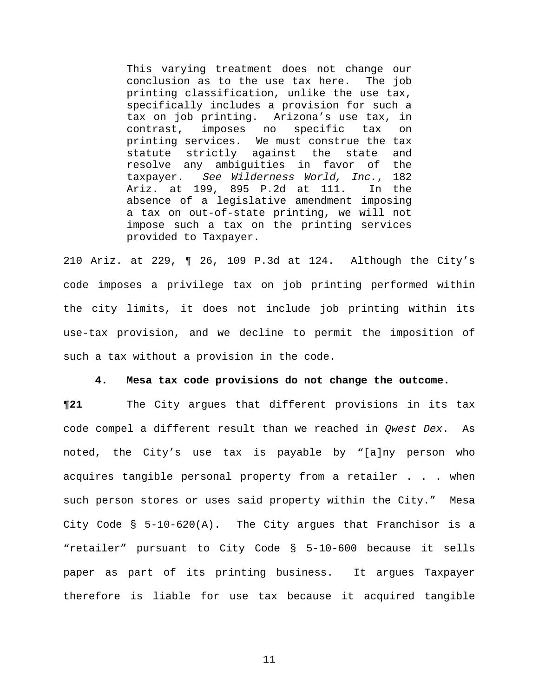This varying treatment does not change our conclusion as to the use tax here. The job printing classification, unlike the use tax, specifically includes a provision for such a tax on job printing. Arizona's use tax, in contrast, imposes no specific tax on printing services. We must construe the tax statute strictly against the state and resolve any ambiguities in favor of the taxpayer. *See Wilderness World, Inc.*, 182 Ariz. at 199, 895 P.2d at 111. In the absence of a legislative amendment imposing a tax on out-of-state printing, we will not impose such a tax on the printing services provided to Taxpayer.

210 Ariz. at 229, ¶ 26, 109 P.3d at 124. Although the City's code imposes a privilege tax on job printing performed within the city limits, it does not include job printing within its use-tax provision, and we decline to permit the imposition of such a tax without a provision in the code.

#### **4. Mesa tax code provisions do not change the outcome.**

**¶21** The City argues that different provisions in its tax code compel a different result than we reached in *Qwest Dex*. As noted, the City's use tax is payable by "[a]ny person who acquires tangible personal property from a retailer . . . when such person stores or uses said property within the City." Mesa City Code § 5-10-620(A). The City argues that Franchisor is a "retailer" pursuant to City Code § 5-10-600 because it sells paper as part of its printing business. It argues Taxpayer therefore is liable for use tax because it acquired tangible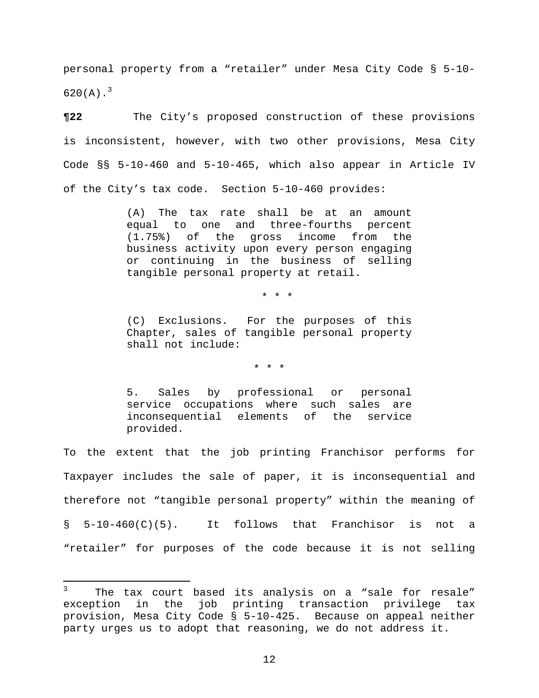personal property from a "retailer" under Mesa City Code § 5-10- 620(A). $^{3}$ 

**¶22** The City's proposed construction of these provisions is inconsistent, however, with two other provisions, Mesa City Code §§ 5-10-460 and 5-10-465, which also appear in Article IV of the City's tax code. Section 5-10-460 provides:

> (A) The tax rate shall be at an amount equal to one and three-fourths percent (1.75%) of the gross income from the business activity upon every person engaging or continuing in the business of selling tangible personal property at retail.

> > \* \* \*

(C) Exclusions. For the purposes of this Chapter, sales of tangible personal property shall not include:

\* \* \*

5. Sales by professional or personal service occupations where such sales are inconsequential elements of the service provided.

To the extent that the job printing Franchisor performs for Taxpayer includes the sale of paper, it is inconsequential and therefore not "tangible personal property" within the meaning of § 5-10-460(C)(5). It follows that Franchisor is not a "retailer" for purposes of the code because it is not selling

 $\overline{\phantom{0}}$ 

<sup>3</sup> The tax court based its analysis on a "sale for resale" exception in the job printing transaction privilege tax provision, Mesa City Code § 5-10-425. Because on appeal neither party urges us to adopt that reasoning, we do not address it.